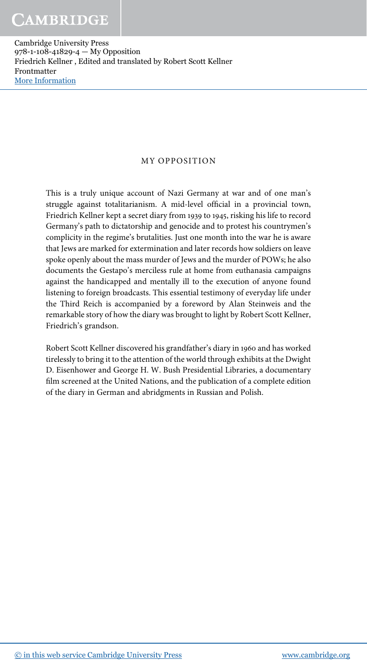### MY OPPOSITION

This is a truly unique account of Nazi Germany at war and of one man's struggle against totalitarianism. A mid-level official in a provincial town, Friedrich Kellner kept a secret diary from 1939 to 1945, risking his life to record Germany's path to dictatorship and genocide and to protest his countrymen's complicity in the regime's brutalities. Just one month into the war he is aware that Jews are marked for extermination and later records how soldiers on leave spoke openly about the mass murder of Jews and the murder of POWs; he also documents the Gestapo's merciless rule at home from euthanasia campaigns against the handicapped and mentally ill to the execution of anyone found listening to foreign broadcasts. This essential testimony of everyday life under the Third Reich is accompanied by a foreword by Alan Steinweis and the remarkable story of how the diary was brought to light by Robert Scott Kellner, Friedrich's grandson.

Robert Scott Kellner discovered his grandfather's diary in 1960 and has worked tirelessly to bring it to the attention of the world through exhibits at the Dwight D. Eisenhower and George H. W. Bush Presidential Libraries, a documentary film screened at the United Nations, and the publication of a complete edition of the diary in German and abridgments in Russian and Polish.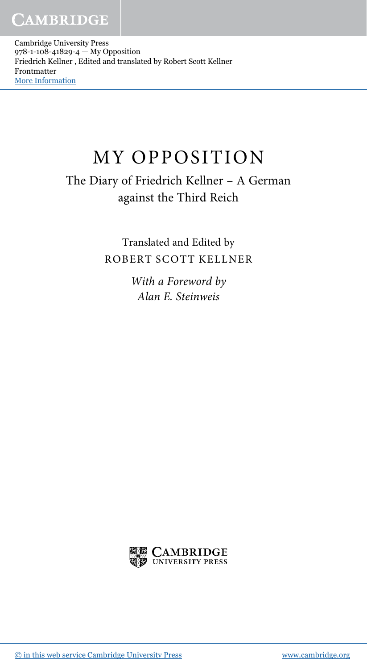Cambridge University Press 978-1-108-41829-4 — My Opposition Friedrich Kellner , Edited and translated by Robert Scott Kellner Frontmatter [More Information](www.cambridge.org/9781108418294)

# MY OPPOSITION

The Diary of Friedrich Kellner – A German against the Third Reich

> Translated and Edited by ROBERT SCOTT KELLNER

> > With a Foreword by Alan E. Steinweis

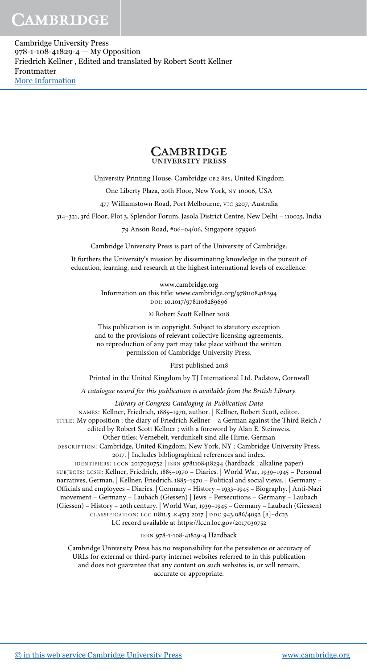Cambridge University Press 978-1-108-41829-4 — My Opposition Friedrich Kellner , Edited and translated by Robert Scott Kellner Frontmatter [More Information](www.cambridge.org/9781108418294)

#### **CAMBRIDGE UNIVERSITY PRESS**

University Printing House, Cambridge CB2 8BS, United Kingdom

One Liberty Plaza, 20th Floor, New York, NY 10006, USA

477 Williamstown Road, Port Melbourne, VIC 3207, Australia

314–321, 3rd Floor, Plot 3, Splendor Forum, Jasola District Centre, New Delhi – 110025, India

79 Anson Road, #06–04/06, Singapore 079906

Cambridge University Press is part of the University of Cambridge.

It furthers the University's mission by disseminating knowledge in the pursuit of education, learning, and research at the highest international levels of excellence.

> www.cambridge.org Information on this title: www.cambridge.org/9781108418294 DOI: 10.1017/9781108289696

> > © Robert Scott Kellner 2018

This publication is in copyright. Subject to statutory exception and to the provisions of relevant collective licensing agreements, no reproduction of any part may take place without the written permission of Cambridge University Press.

First published 2018

Printed in the United Kingdom by TJ International Ltd. Padstow, Cornwall

A catalogue record for this publication is available from the British Library.

Library of Congress Cataloging-in-Publication Data

NAMES: Kellner, Friedrich, 1885–1970, author. | Kellner, Robert Scott, editor.

TITLE: My opposition : the diary of Friedrich Kellner – a German against the Third Reich / edited by Robert Scott Kellner ; with a foreword by Alan E. Steinweis.

Other titles: Vernebelt, verdunkelt sind alle Hirne. German

DESCRIPTION: Cambridge, United Kingdom; New York, NY : Cambridge University Press, 2017. | Includes bibliographical references and index.

IDENTIFIERS: LCCN 2017030752 | ISBN 9781108418294 (hardback : alkaline paper) SUBJECTS: LCSH: Kellner, Friedrich, 1885–1970 – Diaries. | World War, 1939–1945 – Personal narratives, German. | Kellner, Friedrich, 1885–1970 – Political and social views. | Germany – Officials and employees – Diaries. | Germany – History – 1933–1945 – Biography. | Anti-Nazi movement – Germany – Laubach (Giessen) | Jews – Persecutions – Germany – Laubach (Giessen) – History – 20th century. | World War, 1939–1945 – Germany – Laubach (Giessen) CLASSIFICATION: LCC <sup>D</sup>811.5 .K4513 2017 | DDC 943.086/4092 [B]–dc23 LC record available at https://lccn.loc.gov/2017030752

ISBN 978-1-108-41829-4 Hardback

Cambridge University Press has no responsibility for the persistence or accuracy of URLs for external or third-party internet websites referred to in this publication and does not guarantee that any content on such websites is, or will remain, accurate or appropriate.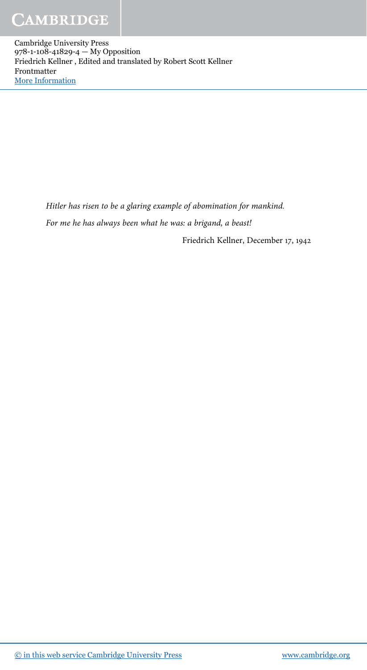> Hitler has risen to be a glaring example of abomination for mankind. For me he has always been what he was: a brigand, a beast!

> > Friedrich Kellner, December 17, 1942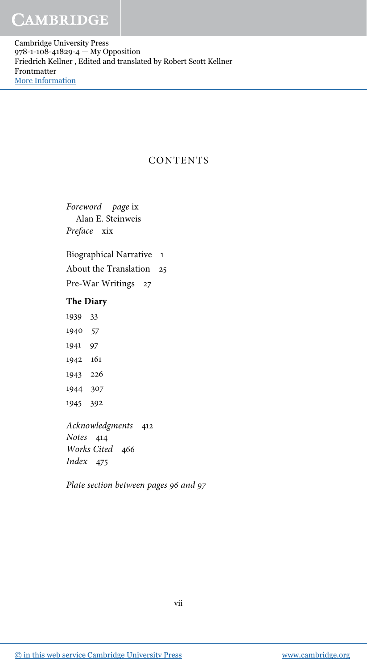# **CONTENTS**

Foreword page ix Alan E. Steinweis Preface xix

Biographical Narrative 1

About the Translation 25

Pre-War Writings 27

# The Diary

Acknowledgments 412 Notes 414 Works Cited 466 Index 475

Plate section between pages 96 and 97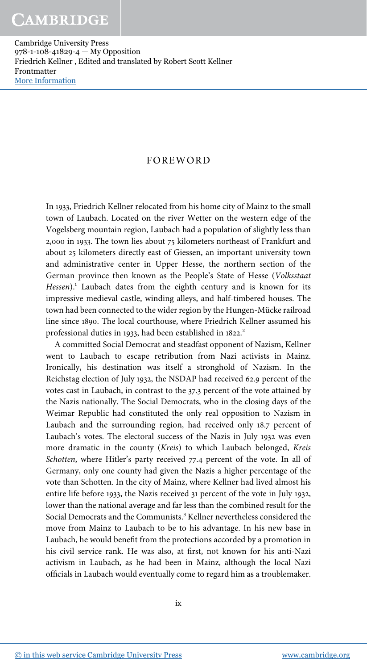# FOREWORD

In 1933, Friedrich Kellner relocated from his home city of Mainz to the small town of Laubach. Located on the river Wetter on the western edge of the Vogelsberg mountain region, Laubach had a population of slightly less than 2,000 in 1933. The town lies about 75 kilometers northeast of Frankfurt and about 25 kilometers directly east of Giessen, an important university town and administrative center in Upper Hesse, the northern section of the German province then known as the People's State of Hesse (Volksstaat Hessen).<sup>1</sup> Laubach dates from the eighth century and is known for its impressive medieval castle, winding alleys, and half-timbered houses. The town had been connected to the wider region by the Hungen-Mücke railroad line since 1890. The local courthouse, where Friedrich Kellner assumed his professional duties in 1933, had been established in 1822. 2

A committed Social Democrat and steadfast opponent of Nazism, Kellner went to Laubach to escape retribution from Nazi activists in Mainz. Ironically, his destination was itself a stronghold of Nazism. In the Reichstag election of July 1932, the NSDAP had received 62.9 percent of the votes cast in Laubach, in contrast to the 37.3 percent of the vote attained by the Nazis nationally. The Social Democrats, who in the closing days of the Weimar Republic had constituted the only real opposition to Nazism in Laubach and the surrounding region, had received only 18.7 percent of Laubach's votes. The electoral success of the Nazis in July 1932 was even more dramatic in the county (Kreis) to which Laubach belonged, Kreis Schotten, where Hitler's party received 77.4 percent of the vote. In all of Germany, only one county had given the Nazis a higher percentage of the vote than Schotten. In the city of Mainz, where Kellner had lived almost his entire life before 1933, the Nazis received 31 percent of the vote in July 1932, lower than the national average and far less than the combined result for the Social Democrats and the Communists.<sup>3</sup> Kellner nevertheless considered the move from Mainz to Laubach to be to his advantage. In his new base in Laubach, he would benefit from the protections accorded by a promotion in his civil service rank. He was also, at first, not known for his anti-Nazi activism in Laubach, as he had been in Mainz, although the local Nazi officials in Laubach would eventually come to regard him as a troublemaker.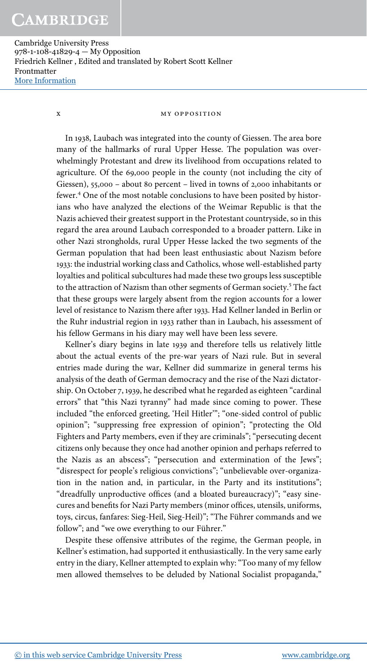#### x MY OPPOSITION

In 1938, Laubach was integrated into the county of Giessen. The area bore many of the hallmarks of rural Upper Hesse. The population was overwhelmingly Protestant and drew its livelihood from occupations related to agriculture. Of the 69,000 people in the county (not including the city of Giessen), 55,000 – about 80 percent – lived in towns of 2,000 inhabitants or fewer.<sup>4</sup> One of the most notable conclusions to have been posited by historians who have analyzed the elections of the Weimar Republic is that the Nazis achieved their greatest support in the Protestant countryside, so in this regard the area around Laubach corresponded to a broader pattern. Like in other Nazi strongholds, rural Upper Hesse lacked the two segments of the German population that had been least enthusiastic about Nazism before 1933: the industrial working class and Catholics, whose well-established party loyalties and political subcultures had made these two groups less susceptible to the attraction of Nazism than other segments of German society.<sup>5</sup> The fact that these groups were largely absent from the region accounts for a lower level of resistance to Nazism there after 1933. Had Kellner landed in Berlin or the Ruhr industrial region in 1933 rather than in Laubach, his assessment of his fellow Germans in his diary may well have been less severe.

Kellner's diary begins in late 1939 and therefore tells us relatively little about the actual events of the pre-war years of Nazi rule. But in several entries made during the war, Kellner did summarize in general terms his analysis of the death of German democracy and the rise of the Nazi dictatorship. On October 7, 1939, he described what he regarded as eighteen "cardinal errors" that "this Nazi tyranny" had made since coming to power. These included "the enforced greeting, 'Heil Hitler'"; "one-sided control of public opinion"; "suppressing free expression of opinion"; "protecting the Old Fighters and Party members, even if they are criminals"; "persecuting decent citizens only because they once had another opinion and perhaps referred to the Nazis as an abscess"; "persecution and extermination of the Jews"; "disrespect for people's religious convictions"; "unbelievable over-organization in the nation and, in particular, in the Party and its institutions"; "dreadfully unproductive offices (and a bloated bureaucracy)"; "easy sinecures and benefits for Nazi Party members (minor offices, utensils, uniforms, toys, circus, fanfares: Sieg-Heil, Sieg-Heil)"; "The Führer commands and we follow"; and "we owe everything to our Führer."

Despite these offensive attributes of the regime, the German people, in Kellner's estimation, had supported it enthusiastically. In the very same early entry in the diary, Kellner attempted to explain why:"Too many of my fellow men allowed themselves to be deluded by National Socialist propaganda,"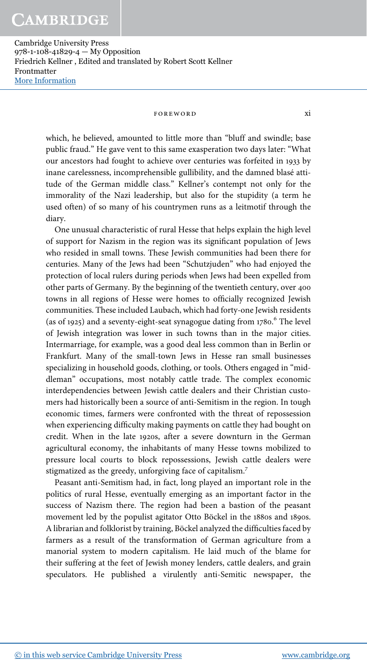#### foreword xi

which, he believed, amounted to little more than "bluff and swindle; base public fraud." He gave vent to this same exasperation two days later: "What our ancestors had fought to achieve over centuries was forfeited in 1933 by inane carelessness, incomprehensible gullibility, and the damned blasé attitude of the German middle class." Kellner's contempt not only for the immorality of the Nazi leadership, but also for the stupidity (a term he used often) of so many of his countrymen runs as a leitmotif through the diary.

One unusual characteristic of rural Hesse that helps explain the high level of support for Nazism in the region was its significant population of Jews who resided in small towns. These Jewish communities had been there for centuries. Many of the Jews had been "Schutzjuden" who had enjoyed the protection of local rulers during periods when Jews had been expelled from other parts of Germany. By the beginning of the twentieth century, over 400 towns in all regions of Hesse were homes to officially recognized Jewish communities. These included Laubach, which had forty-one Jewish residents (as of 1925) and a seventy-eight-seat synagogue dating from 1780. 6 The level of Jewish integration was lower in such towns than in the major cities. Intermarriage, for example, was a good deal less common than in Berlin or Frankfurt. Many of the small-town Jews in Hesse ran small businesses specializing in household goods, clothing, or tools. Others engaged in "middleman" occupations, most notably cattle trade. The complex economic interdependencies between Jewish cattle dealers and their Christian customers had historically been a source of anti-Semitism in the region. In tough economic times, farmers were confronted with the threat of repossession when experiencing difficulty making payments on cattle they had bought on credit. When in the late 1920s, after a severe downturn in the German agricultural economy, the inhabitants of many Hesse towns mobilized to pressure local courts to block repossessions, Jewish cattle dealers were stigmatized as the greedy, unforgiving face of capitalism.<sup>7</sup>

Peasant anti-Semitism had, in fact, long played an important role in the politics of rural Hesse, eventually emerging as an important factor in the success of Nazism there. The region had been a bastion of the peasant movement led by the populist agitator Otto Böckel in the 1880s and 1890s. A librarian and folklorist by training, Böckel analyzed the difficulties faced by farmers as a result of the transformation of German agriculture from a manorial system to modern capitalism. He laid much of the blame for their suffering at the feet of Jewish money lenders, cattle dealers, and grain speculators. He published a virulently anti-Semitic newspaper, the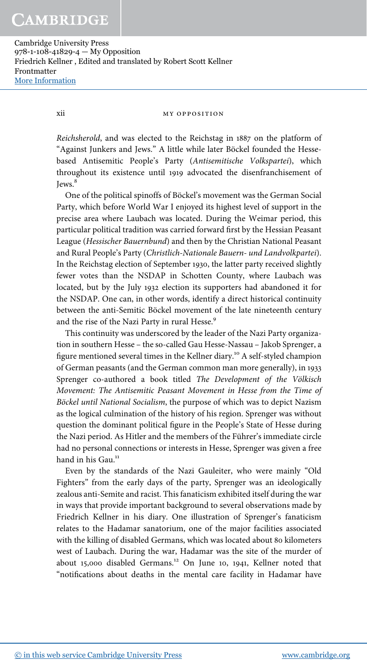Cambridge University Press 978-1-108-41829-4 — My Opposition Friedrich Kellner , Edited and translated by Robert Scott Kellner Frontmatter [More Information](www.cambridge.org/9781108418294)

#### xii my opposition

Reichsherold, and was elected to the Reichstag in 1887 on the platform of "Against Junkers and Jews." A little while later Böckel founded the Hessebased Antisemitic People's Party (Antisemitische Volkspartei), which throughout its existence until 1919 advocated the disenfranchisement of Jews.<sup>8</sup>

One of the political spinoffs of Böckel's movement was the German Social Party, which before World War I enjoyed its highest level of support in the precise area where Laubach was located. During the Weimar period, this particular political tradition was carried forward first by the Hessian Peasant League (Hessischer Bauernbund) and then by the Christian National Peasant and Rural People's Party (Christlich-Nationale Bauern- und Landvolkpartei). In the Reichstag election of September 1930, the latter party received slightly fewer votes than the NSDAP in Schotten County, where Laubach was located, but by the July 1932 election its supporters had abandoned it for the NSDAP. One can, in other words, identify a direct historical continuity between the anti-Semitic Böckel movement of the late nineteenth century and the rise of the Nazi Party in rural Hesse.<sup>9</sup>

This continuity was underscored by the leader of the Nazi Party organization in southern Hesse – the so-called Gau Hesse-Nassau – Jakob Sprenger, a figure mentioned several times in the Kellner diary.<sup>10</sup> A self-styled champion of German peasants (and the German common man more generally), in 1933 Sprenger co-authored a book titled The Development of the Völkisch Movement: The Antisemitic Peasant Movement in Hesse from the Time of Böckel until National Socialism, the purpose of which was to depict Nazism as the logical culmination of the history of his region. Sprenger was without question the dominant political figure in the People's State of Hesse during the Nazi period. As Hitler and the members of the Führer's immediate circle had no personal connections or interests in Hesse, Sprenger was given a free hand in his Gau.<sup>11</sup>

Even by the standards of the Nazi Gauleiter, who were mainly "Old Fighters" from the early days of the party, Sprenger was an ideologically zealous anti-Semite and racist. This fanaticism exhibited itself during the war in ways that provide important background to several observations made by Friedrich Kellner in his diary. One illustration of Sprenger's fanaticism relates to the Hadamar sanatorium, one of the major facilities associated with the killing of disabled Germans, which was located about 80 kilometers west of Laubach. During the war, Hadamar was the site of the murder of about 15,000 disabled Germans.<sup>12</sup> On June 10, 1941, Kellner noted that "notifications about deaths in the mental care facility in Hadamar have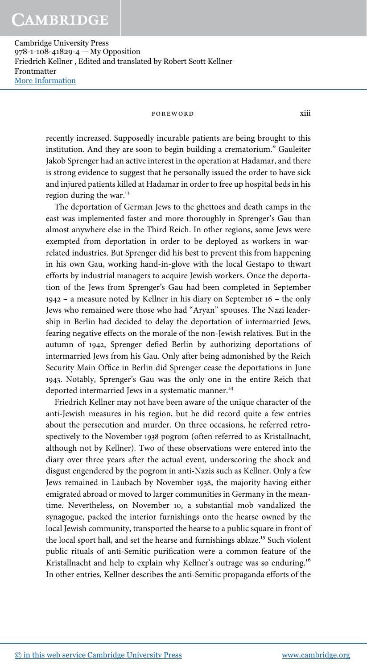#### foreword xiii

recently increased. Supposedly incurable patients are being brought to this institution. And they are soon to begin building a crematorium." Gauleiter Jakob Sprenger had an active interest in the operation at Hadamar, and there is strong evidence to suggest that he personally issued the order to have sick and injured patients killed at Hadamar in order to free up hospital beds in his region during the war.<sup>13</sup>

The deportation of German Jews to the ghettoes and death camps in the east was implemented faster and more thoroughly in Sprenger's Gau than almost anywhere else in the Third Reich. In other regions, some Jews were exempted from deportation in order to be deployed as workers in warrelated industries. But Sprenger did his best to prevent this from happening in his own Gau, working hand-in-glove with the local Gestapo to thwart efforts by industrial managers to acquire Jewish workers. Once the deportation of the Jews from Sprenger's Gau had been completed in September 1942 – a measure noted by Kellner in his diary on September 16 – the only Jews who remained were those who had "Aryan" spouses. The Nazi leadership in Berlin had decided to delay the deportation of intermarried Jews, fearing negative effects on the morale of the non-Jewish relatives. But in the autumn of 1942, Sprenger defied Berlin by authorizing deportations of intermarried Jews from his Gau. Only after being admonished by the Reich Security Main Office in Berlin did Sprenger cease the deportations in June 1943. Notably, Sprenger's Gau was the only one in the entire Reich that deported intermarried Jews in a systematic manner.<sup>14</sup>

Friedrich Kellner may not have been aware of the unique character of the anti-Jewish measures in his region, but he did record quite a few entries about the persecution and murder. On three occasions, he referred retrospectively to the November 1938 pogrom (often referred to as Kristallnacht, although not by Kellner). Two of these observations were entered into the diary over three years after the actual event, underscoring the shock and disgust engendered by the pogrom in anti-Nazis such as Kellner. Only a few Jews remained in Laubach by November 1938, the majority having either emigrated abroad or moved to larger communities in Germany in the meantime. Nevertheless, on November 10, a substantial mob vandalized the synagogue, packed the interior furnishings onto the hearse owned by the local Jewish community, transported the hearse to a public square in front of the local sport hall, and set the hearse and furnishings ablaze.<sup>15</sup> Such violent public rituals of anti-Semitic purification were a common feature of the Kristallnacht and help to explain why Kellner's outrage was so enduring.<sup>16</sup> In other entries, Kellner describes the anti-Semitic propaganda efforts of the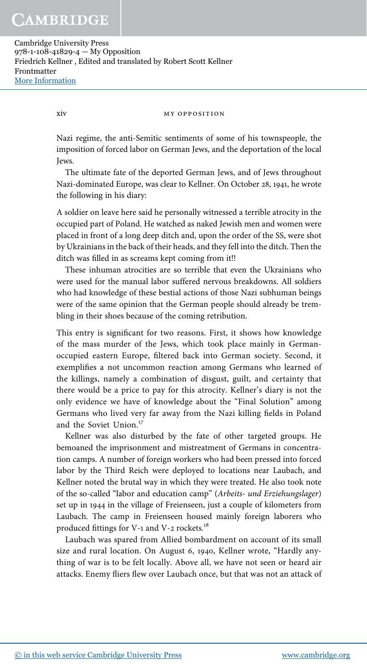Cambridge University Press 978-1-108-41829-4 — My Opposition Friedrich Kellner , Edited and translated by Robert Scott Kellner Frontmatter [More Information](www.cambridge.org/9781108418294)

#### xiv my opposition

Nazi regime, the anti-Semitic sentiments of some of his townspeople, the imposition of forced labor on German Jews, and the deportation of the local Jews.

The ultimate fate of the deported German Jews, and of Jews throughout Nazi-dominated Europe, was clear to Kellner. On October 28, 1941, he wrote the following in his diary:

A soldier on leave here said he personally witnessed a terrible atrocity in the occupied part of Poland. He watched as naked Jewish men and women were placed in front of a long deep ditch and, upon the order of the SS, were shot by Ukrainians in the back of their heads, and they fell into the ditch. Then the ditch was filled in as screams kept coming from it!!

These inhuman atrocities are so terrible that even the Ukrainians who were used for the manual labor suffered nervous breakdowns. All soldiers who had knowledge of these bestial actions of those Nazi subhuman beings were of the same opinion that the German people should already be trembling in their shoes because of the coming retribution.

This entry is significant for two reasons. First, it shows how knowledge of the mass murder of the Jews, which took place mainly in Germanoccupied eastern Europe, filtered back into German society. Second, it exemplifies a not uncommon reaction among Germans who learned of the killings, namely a combination of disgust, guilt, and certainty that there would be a price to pay for this atrocity. Kellner's diary is not the only evidence we have of knowledge about the "Final Solution" among Germans who lived very far away from the Nazi killing fields in Poland and the Soviet Union.<sup>17</sup>

Kellner was also disturbed by the fate of other targeted groups. He bemoaned the imprisonment and mistreatment of Germans in concentration camps. A number of foreign workers who had been pressed into forced labor by the Third Reich were deployed to locations near Laubach, and Kellner noted the brutal way in which they were treated. He also took note of the so-called "labor and education camp" (Arbeits- und Erziehungslager) set up in 1944 in the village of Freienseen, just a couple of kilometers from Laubach. The camp in Freienseen housed mainly foreign laborers who produced fittings for V-1 and V-2 rockets.<sup>18</sup>

Laubach was spared from Allied bombardment on account of its small size and rural location. On August 6, 1940, Kellner wrote, "Hardly anything of war is to be felt locally. Above all, we have not seen or heard air attacks. Enemy fliers flew over Laubach once, but that was not an attack of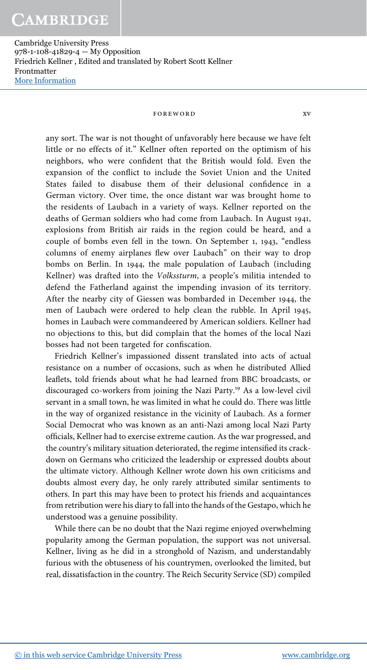#### foreword xv

any sort. The war is not thought of unfavorably here because we have felt little or no effects of it." Kellner often reported on the optimism of his neighbors, who were confident that the British would fold. Even the expansion of the conflict to include the Soviet Union and the United States failed to disabuse them of their delusional confidence in a German victory. Over time, the once distant war was brought home to the residents of Laubach in a variety of ways. Kellner reported on the deaths of German soldiers who had come from Laubach. In August 1941, explosions from British air raids in the region could be heard, and a couple of bombs even fell in the town. On September 1, 1943, "endless columns of enemy airplanes flew over Laubach" on their way to drop bombs on Berlin. In 1944, the male population of Laubach (including Kellner) was drafted into the Volkssturm, a people's militia intended to defend the Fatherland against the impending invasion of its territory. After the nearby city of Giessen was bombarded in December 1944, the men of Laubach were ordered to help clean the rubble. In April 1945, homes in Laubach were commandeered by American soldiers. Kellner had no objections to this, but did complain that the homes of the local Nazi bosses had not been targeted for confiscation.

Friedrich Kellner's impassioned dissent translated into acts of actual resistance on a number of occasions, such as when he distributed Allied leaflets, told friends about what he had learned from BBC broadcasts, or discouraged co-workers from joining the Nazi Party.<sup>19</sup> As a low-level civil servant in a small town, he was limited in what he could do. There was little in the way of organized resistance in the vicinity of Laubach. As a former Social Democrat who was known as an anti-Nazi among local Nazi Party officials, Kellner had to exercise extreme caution. As the war progressed, and the country's military situation deteriorated, the regime intensified its crackdown on Germans who criticized the leadership or expressed doubts about the ultimate victory. Although Kellner wrote down his own criticisms and doubts almost every day, he only rarely attributed similar sentiments to others. In part this may have been to protect his friends and acquaintances from retribution were his diary to fall into the hands of the Gestapo, which he understood was a genuine possibility.

While there can be no doubt that the Nazi regime enjoyed overwhelming popularity among the German population, the support was not universal. Kellner, living as he did in a stronghold of Nazism, and understandably furious with the obtuseness of his countrymen, overlooked the limited, but real, dissatisfaction in the country. The Reich Security Service (SD) compiled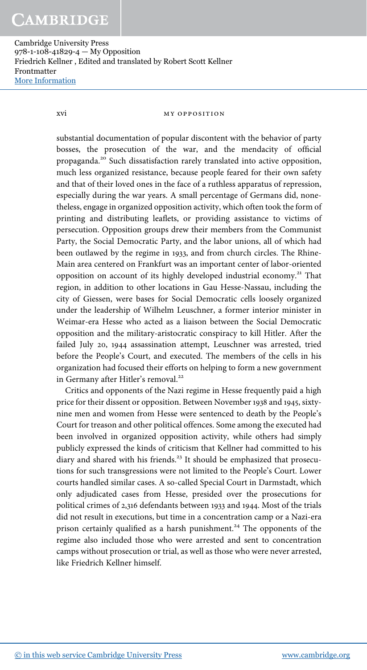#### xvi MY OPPOSITION

substantial documentation of popular discontent with the behavior of party bosses, the prosecution of the war, and the mendacity of official propaganda.<sup>20</sup> Such dissatisfaction rarely translated into active opposition, much less organized resistance, because people feared for their own safety and that of their loved ones in the face of a ruthless apparatus of repression, especially during the war years. A small percentage of Germans did, nonetheless, engage in organized opposition activity, which often took the form of printing and distributing leaflets, or providing assistance to victims of persecution. Opposition groups drew their members from the Communist Party, the Social Democratic Party, and the labor unions, all of which had been outlawed by the regime in 1933, and from church circles. The Rhine-Main area centered on Frankfurt was an important center of labor-oriented opposition on account of its highly developed industrial economy.<sup>21</sup> That region, in addition to other locations in Gau Hesse-Nassau, including the city of Giessen, were bases for Social Democratic cells loosely organized under the leadership of Wilhelm Leuschner, a former interior minister in Weimar-era Hesse who acted as a liaison between the Social Democratic opposition and the military-aristocratic conspiracy to kill Hitler. After the failed July 20, 1944 assassination attempt, Leuschner was arrested, tried before the People's Court, and executed. The members of the cells in his organization had focused their efforts on helping to form a new government in Germany after Hitler's removal.<sup>22</sup>

Critics and opponents of the Nazi regime in Hesse frequently paid a high price for their dissent or opposition. Between November 1938 and 1945, sixtynine men and women from Hesse were sentenced to death by the People's Court for treason and other political offences. Some among the executed had been involved in organized opposition activity, while others had simply publicly expressed the kinds of criticism that Kellner had committed to his diary and shared with his friends.<sup>23</sup> It should be emphasized that prosecutions for such transgressions were not limited to the People's Court. Lower courts handled similar cases. A so-called Special Court in Darmstadt, which only adjudicated cases from Hesse, presided over the prosecutions for political crimes of 2,316 defendants between 1933 and 1944. Most of the trials did not result in executions, but time in a concentration camp or a Nazi-era prison certainly qualified as a harsh punishment.<sup>24</sup> The opponents of the regime also included those who were arrested and sent to concentration camps without prosecution or trial, as well as those who were never arrested, like Friedrich Kellner himself.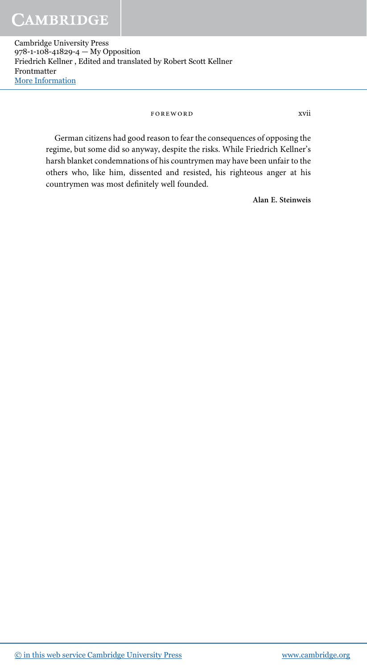### foreword xvii

German citizens had good reason to fear the consequences of opposing the regime, but some did so anyway, despite the risks. While Friedrich Kellner's harsh blanket condemnations of his countrymen may have been unfair to the others who, like him, dissented and resisted, his righteous anger at his countrymen was most definitely well founded.

Alan E. Steinweis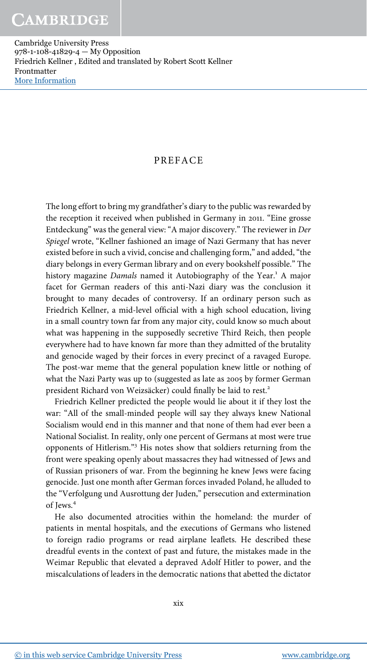# PREFACE

The long effort to bring my grandfather's diary to the public was rewarded by the reception it received when published in Germany in 2011. "Eine grosse Entdeckung" was the general view: "A major discovery." The reviewer in Der Spiegel wrote, "Kellner fashioned an image of Nazi Germany that has never existed before in such a vivid, concise and challenging form," and added, "the diary belongs in every German library and on every bookshelf possible." The history magazine Damals named it Autobiography of the Year.<sup>1</sup> A major facet for German readers of this anti-Nazi diary was the conclusion it brought to many decades of controversy. If an ordinary person such as Friedrich Kellner, a mid-level official with a high school education, living in a small country town far from any major city, could know so much about what was happening in the supposedly secretive Third Reich, then people everywhere had to have known far more than they admitted of the brutality and genocide waged by their forces in every precinct of a ravaged Europe. The post-war meme that the general population knew little or nothing of what the Nazi Party was up to (suggested as late as 2005 by former German president Richard von Weizsäcker) could finally be laid to rest.<sup>2</sup>

Friedrich Kellner predicted the people would lie about it if they lost the war: "All of the small-minded people will say they always knew National Socialism would end in this manner and that none of them had ever been a National Socialist. In reality, only one percent of Germans at most were true opponents of Hitlerism." <sup>3</sup> His notes show that soldiers returning from the front were speaking openly about massacres they had witnessed of Jews and of Russian prisoners of war. From the beginning he knew Jews were facing genocide. Just one month after German forces invaded Poland, he alluded to the "Verfolgung und Ausrottung der Juden," persecution and extermination of Jews.<sup>4</sup>

He also documented atrocities within the homeland: the murder of patients in mental hospitals, and the executions of Germans who listened to foreign radio programs or read airplane leaflets. He described these dreadful events in the context of past and future, the mistakes made in the Weimar Republic that elevated a depraved Adolf Hitler to power, and the miscalculations of leaders in the democratic nations that abetted the dictator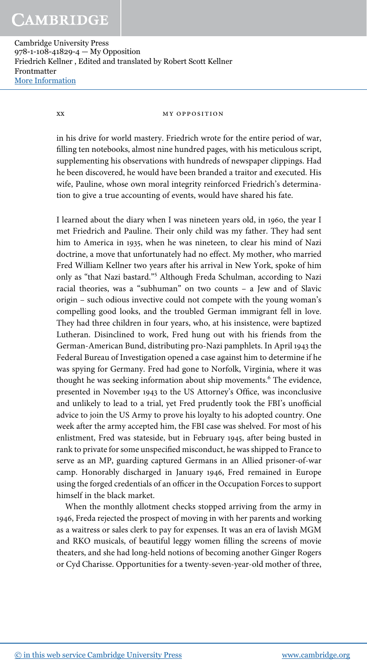Cambridge University Press 978-1-108-41829-4 — My Opposition Friedrich Kellner , Edited and translated by Robert Scott Kellner Frontmatter [More Information](www.cambridge.org/9781108418294)

#### xx MY OPPOSITION

in his drive for world mastery. Friedrich wrote for the entire period of war, filling ten notebooks, almost nine hundred pages, with his meticulous script, supplementing his observations with hundreds of newspaper clippings. Had he been discovered, he would have been branded a traitor and executed. His wife, Pauline, whose own moral integrity reinforced Friedrich's determination to give a true accounting of events, would have shared his fate.

I learned about the diary when I was nineteen years old, in 1960, the year I met Friedrich and Pauline. Their only child was my father. They had sent him to America in 1935, when he was nineteen, to clear his mind of Nazi doctrine, a move that unfortunately had no effect. My mother, who married Fred William Kellner two years after his arrival in New York, spoke of him only as "that Nazi bastard." <sup>5</sup> Although Freda Schulman, according to Nazi racial theories, was a "subhuman" on two counts – a Jew and of Slavic origin – such odious invective could not compete with the young woman's compelling good looks, and the troubled German immigrant fell in love. They had three children in four years, who, at his insistence, were baptized Lutheran. Disinclined to work, Fred hung out with his friends from the German-American Bund, distributing pro-Nazi pamphlets. In April 1943 the Federal Bureau of Investigation opened a case against him to determine if he was spying for Germany. Fred had gone to Norfolk, Virginia, where it was thought he was seeking information about ship movements.<sup>6</sup> The evidence, presented in November 1943 to the US Attorney's Office, was inconclusive and unlikely to lead to a trial, yet Fred prudently took the FBI's unofficial advice to join the US Army to prove his loyalty to his adopted country. One week after the army accepted him, the FBI case was shelved. For most of his enlistment, Fred was stateside, but in February 1945, after being busted in rank to private for some unspecified misconduct, he was shipped to France to serve as an MP, guarding captured Germans in an Allied prisoner-of-war camp. Honorably discharged in January 1946, Fred remained in Europe using the forged credentials of an officer in the Occupation Forces to support himself in the black market.

When the monthly allotment checks stopped arriving from the army in 1946, Freda rejected the prospect of moving in with her parents and working as a waitress or sales clerk to pay for expenses. It was an era of lavish MGM and RKO musicals, of beautiful leggy women filling the screens of movie theaters, and she had long-held notions of becoming another Ginger Rogers or Cyd Charisse. Opportunities for a twenty-seven-year-old mother of three,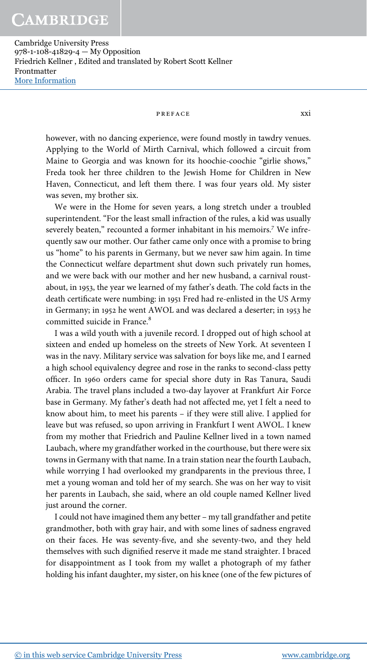#### preface xxi

however, with no dancing experience, were found mostly in tawdry venues. Applying to the World of Mirth Carnival, which followed a circuit from Maine to Georgia and was known for its hoochie-coochie "girlie shows," Freda took her three children to the Jewish Home for Children in New Haven, Connecticut, and left them there. I was four years old. My sister was seven, my brother six.

We were in the Home for seven years, a long stretch under a troubled superintendent. "For the least small infraction of the rules, a kid was usually severely beaten," recounted a former inhabitant in his memoirs.<sup>7</sup> We infrequently saw our mother. Our father came only once with a promise to bring us "home" to his parents in Germany, but we never saw him again. In time the Connecticut welfare department shut down such privately run homes, and we were back with our mother and her new husband, a carnival roustabout, in 1953, the year we learned of my father's death. The cold facts in the death certificate were numbing: in 1951 Fred had re-enlisted in the US Army in Germany; in 1952 he went AWOL and was declared a deserter; in 1953 he committed suicide in France.<sup>8</sup>

I was a wild youth with a juvenile record. I dropped out of high school at sixteen and ended up homeless on the streets of New York. At seventeen I was in the navy. Military service was salvation for boys like me, and I earned a high school equivalency degree and rose in the ranks to second-class petty officer. In 1960 orders came for special shore duty in Ras Tanura, Saudi Arabia. The travel plans included a two-day layover at Frankfurt Air Force base in Germany. My father's death had not affected me, yet I felt a need to know about him, to meet his parents – if they were still alive. I applied for leave but was refused, so upon arriving in Frankfurt I went AWOL. I knew from my mother that Friedrich and Pauline Kellner lived in a town named Laubach, where my grandfather worked in the courthouse, but there were six towns in Germany with that name. In a train station near the fourth Laubach, while worrying I had overlooked my grandparents in the previous three, I met a young woman and told her of my search. She was on her way to visit her parents in Laubach, she said, where an old couple named Kellner lived just around the corner.

I could not have imagined them any better – my tall grandfather and petite grandmother, both with gray hair, and with some lines of sadness engraved on their faces. He was seventy-five, and she seventy-two, and they held themselves with such dignified reserve it made me stand straighter. I braced for disappointment as I took from my wallet a photograph of my father holding his infant daughter, my sister, on his knee (one of the few pictures of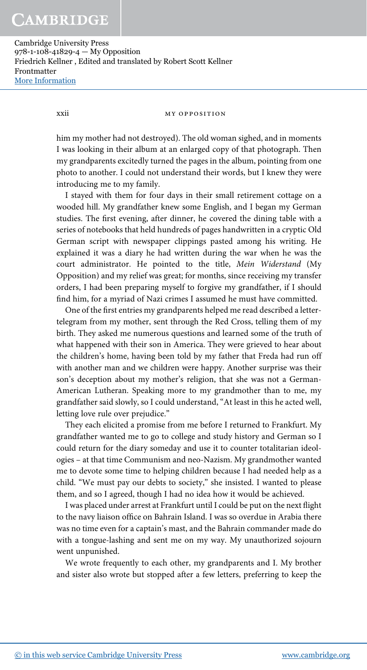Cambridge University Press 978-1-108-41829-4 — My Opposition Friedrich Kellner , Edited and translated by Robert Scott Kellner Frontmatter [More Information](www.cambridge.org/9781108418294)

#### xxii MY OPPOSITION

him my mother had not destroyed). The old woman sighed, and in moments I was looking in their album at an enlarged copy of that photograph. Then my grandparents excitedly turned the pages in the album, pointing from one photo to another. I could not understand their words, but I knew they were introducing me to my family.

I stayed with them for four days in their small retirement cottage on a wooded hill. My grandfather knew some English, and I began my German studies. The first evening, after dinner, he covered the dining table with a series of notebooks that held hundreds of pages handwritten in a cryptic Old German script with newspaper clippings pasted among his writing. He explained it was a diary he had written during the war when he was the court administrator. He pointed to the title, Mein Widerstand (My Opposition) and my relief was great; for months, since receiving my transfer orders, I had been preparing myself to forgive my grandfather, if I should find him, for a myriad of Nazi crimes I assumed he must have committed.

One of the first entries my grandparents helped me read described a lettertelegram from my mother, sent through the Red Cross, telling them of my birth. They asked me numerous questions and learned some of the truth of what happened with their son in America. They were grieved to hear about the children's home, having been told by my father that Freda had run off with another man and we children were happy. Another surprise was their son's deception about my mother's religion, that she was not a German-American Lutheran. Speaking more to my grandmother than to me, my grandfather said slowly, so I could understand, "At least in this he acted well, letting love rule over prejudice."

They each elicited a promise from me before I returned to Frankfurt. My grandfather wanted me to go to college and study history and German so I could return for the diary someday and use it to counter totalitarian ideologies – at that time Communism and neo-Nazism. My grandmother wanted me to devote some time to helping children because I had needed help as a child. "We must pay our debts to society," she insisted. I wanted to please them, and so I agreed, though I had no idea how it would be achieved.

I was placed under arrest at Frankfurt until I could be put on the next flight to the navy liaison office on Bahrain Island. I was so overdue in Arabia there was no time even for a captain's mast, and the Bahrain commander made do with a tongue-lashing and sent me on my way. My unauthorized sojourn went unpunished.

We wrote frequently to each other, my grandparents and I. My brother and sister also wrote but stopped after a few letters, preferring to keep the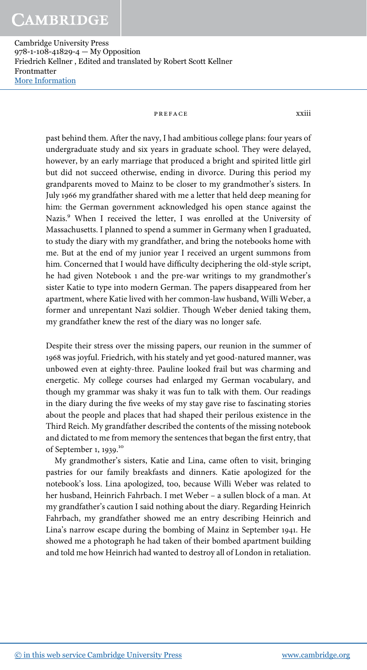Cambridge University Press 978-1-108-41829-4 — My Opposition Friedrich Kellner , Edited and translated by Robert Scott Kellner Frontmatter [More Information](www.cambridge.org/9781108418294)

#### preface xxiii

past behind them. After the navy, I had ambitious college plans: four years of undergraduate study and six years in graduate school. They were delayed, however, by an early marriage that produced a bright and spirited little girl but did not succeed otherwise, ending in divorce. During this period my grandparents moved to Mainz to be closer to my grandmother's sisters. In July 1966 my grandfather shared with me a letter that held deep meaning for him: the German government acknowledged his open stance against the Nazis.<sup>9</sup> When I received the letter, I was enrolled at the University of Massachusetts. I planned to spend a summer in Germany when I graduated, to study the diary with my grandfather, and bring the notebooks home with me. But at the end of my junior year I received an urgent summons from him. Concerned that I would have difficulty deciphering the old-style script, he had given Notebook 1 and the pre-war writings to my grandmother's sister Katie to type into modern German. The papers disappeared from her apartment, where Katie lived with her common-law husband, Willi Weber, a former and unrepentant Nazi soldier. Though Weber denied taking them, my grandfather knew the rest of the diary was no longer safe.

Despite their stress over the missing papers, our reunion in the summer of 1968 was joyful. Friedrich, with his stately and yet good-natured manner, was unbowed even at eighty-three. Pauline looked frail but was charming and energetic. My college courses had enlarged my German vocabulary, and though my grammar was shaky it was fun to talk with them. Our readings in the diary during the five weeks of my stay gave rise to fascinating stories about the people and places that had shaped their perilous existence in the Third Reich. My grandfather described the contents of the missing notebook and dictated to me from memory the sentences that began the first entry, that of September 1, 1939.<sup>10</sup>

My grandmother's sisters, Katie and Lina, came often to visit, bringing pastries for our family breakfasts and dinners. Katie apologized for the notebook's loss. Lina apologized, too, because Willi Weber was related to her husband, Heinrich Fahrbach. I met Weber – a sullen block of a man. At my grandfather's caution I said nothing about the diary. Regarding Heinrich Fahrbach, my grandfather showed me an entry describing Heinrich and Lina's narrow escape during the bombing of Mainz in September 1941. He showed me a photograph he had taken of their bombed apartment building and told me how Heinrich had wanted to destroy all of London in retaliation.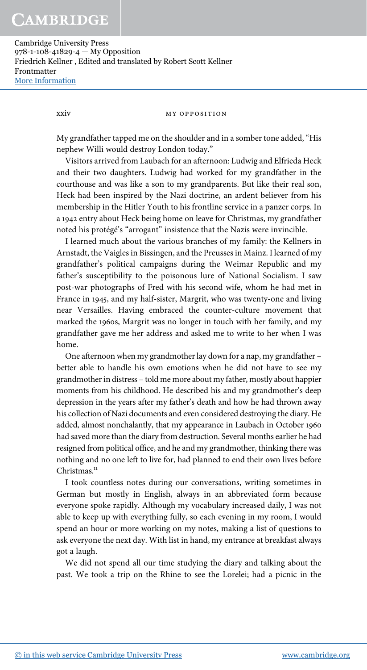#### xxiv MY OPPOSITION

My grandfather tapped me on the shoulder and in a somber tone added,"His nephew Willi would destroy London today."

Visitors arrived from Laubach for an afternoon: Ludwig and Elfrieda Heck and their two daughters. Ludwig had worked for my grandfather in the courthouse and was like a son to my grandparents. But like their real son, Heck had been inspired by the Nazi doctrine, an ardent believer from his membership in the Hitler Youth to his frontline service in a panzer corps. In a 1942 entry about Heck being home on leave for Christmas, my grandfather noted his protégé's "arrogant" insistence that the Nazis were invincible.

I learned much about the various branches of my family: the Kellners in Arnstadt, the Vaigles in Bissingen, and the Preusses in Mainz. I learned of my grandfather's political campaigns during the Weimar Republic and my father's susceptibility to the poisonous lure of National Socialism. I saw post-war photographs of Fred with his second wife, whom he had met in France in 1945, and my half-sister, Margrit, who was twenty-one and living near Versailles. Having embraced the counter-culture movement that marked the 1960s, Margrit was no longer in touch with her family, and my grandfather gave me her address and asked me to write to her when I was home.

One afternoon when my grandmother lay down for a nap, my grandfather – better able to handle his own emotions when he did not have to see my grandmother in distress – told me more about my father, mostly about happier moments from his childhood. He described his and my grandmother's deep depression in the years after my father's death and how he had thrown away his collection of Nazi documents and even considered destroying the diary. He added, almost nonchalantly, that my appearance in Laubach in October 1960 had saved more than the diary from destruction. Several months earlier he had resigned from political office, and he and my grandmother, thinking there was nothing and no one left to live for, had planned to end their own lives before Christmas.<sup>11</sup>

I took countless notes during our conversations, writing sometimes in German but mostly in English, always in an abbreviated form because everyone spoke rapidly. Although my vocabulary increased daily, I was not able to keep up with everything fully, so each evening in my room, I would spend an hour or more working on my notes, making a list of questions to ask everyone the next day. With list in hand, my entrance at breakfast always got a laugh.

We did not spend all our time studying the diary and talking about the past. We took a trip on the Rhine to see the Lorelei; had a picnic in the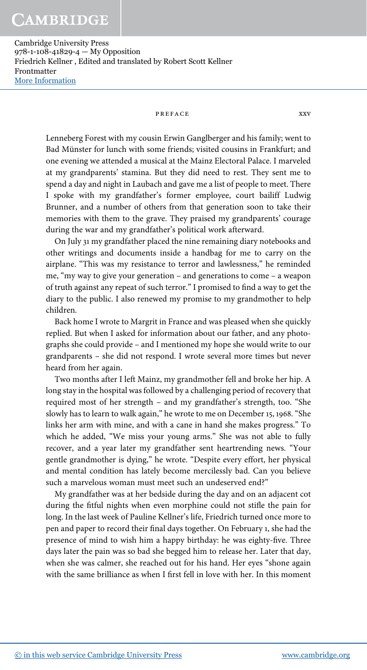#### preface xxv

Lenneberg Forest with my cousin Erwin Ganglberger and his family; went to Bad Münster for lunch with some friends; visited cousins in Frankfurt; and one evening we attended a musical at the Mainz Electoral Palace. I marveled at my grandparents' stamina. But they did need to rest. They sent me to spend a day and night in Laubach and gave me a list of people to meet. There I spoke with my grandfather's former employee, court bailiff Ludwig Brunner, and a number of others from that generation soon to take their memories with them to the grave. They praised my grandparents' courage during the war and my grandfather's political work afterward.

On July 31 my grandfather placed the nine remaining diary notebooks and other writings and documents inside a handbag for me to carry on the airplane. "This was my resistance to terror and lawlessness," he reminded me, "my way to give your generation – and generations to come – a weapon of truth against any repeat of such terror." I promised to find a way to get the diary to the public. I also renewed my promise to my grandmother to help children.

Back home I wrote to Margrit in France and was pleased when she quickly replied. But when I asked for information about our father, and any photographs she could provide – and I mentioned my hope she would write to our grandparents – she did not respond. I wrote several more times but never heard from her again.

Two months after I left Mainz, my grandmother fell and broke her hip. A long stay in the hospital was followed by a challenging period of recovery that required most of her strength – and my grandfather's strength, too. "She slowly has to learn to walk again," he wrote to me on December 15, 1968. "She links her arm with mine, and with a cane in hand she makes progress." To which he added, "We miss your young arms." She was not able to fully recover, and a year later my grandfather sent heartrending news. "Your gentle grandmother is dying," he wrote. "Despite every effort, her physical and mental condition has lately become mercilessly bad. Can you believe such a marvelous woman must meet such an undeserved end?"

My grandfather was at her bedside during the day and on an adjacent cot during the fitful nights when even morphine could not stifle the pain for long. In the last week of Pauline Kellner's life, Friedrich turned once more to pen and paper to record their final days together. On February 1, she had the presence of mind to wish him a happy birthday: he was eighty-five. Three days later the pain was so bad she begged him to release her. Later that day, when she was calmer, she reached out for his hand. Her eyes "shone again with the same brilliance as when I first fell in love with her. In this moment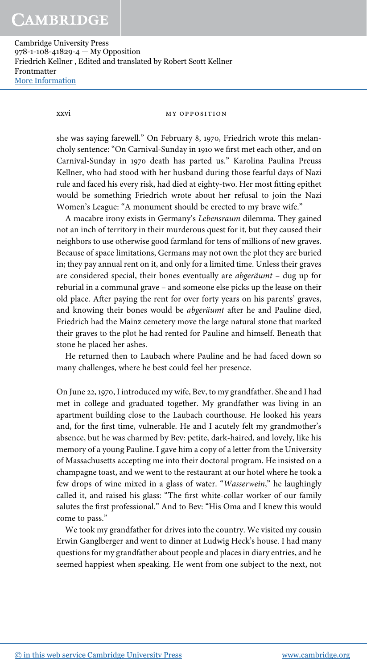Cambridge University Press 978-1-108-41829-4 — My Opposition Friedrich Kellner , Edited and translated by Robert Scott Kellner Frontmatter [More Information](www.cambridge.org/9781108418294)

#### xxvi MY OPPOSITION

she was saying farewell." On February 8, 1970, Friedrich wrote this melancholy sentence: "On Carnival-Sunday in 1910 we first met each other, and on Carnival-Sunday in 1970 death has parted us." Karolina Paulina Preuss Kellner, who had stood with her husband during those fearful days of Nazi rule and faced his every risk, had died at eighty-two. Her most fitting epithet would be something Friedrich wrote about her refusal to join the Nazi Women's League: "A monument should be erected to my brave wife."

A macabre irony exists in Germany's Lebensraum dilemma. They gained not an inch of territory in their murderous quest for it, but they caused their neighbors to use otherwise good farmland for tens of millions of new graves. Because of space limitations, Germans may not own the plot they are buried in; they pay annual rent on it, and only for a limited time. Unless their graves are considered special, their bones eventually are abgeräumt – dug up for reburial in a communal grave – and someone else picks up the lease on their old place. After paying the rent for over forty years on his parents' graves, and knowing their bones would be abgeräumt after he and Pauline died, Friedrich had the Mainz cemetery move the large natural stone that marked their graves to the plot he had rented for Pauline and himself. Beneath that stone he placed her ashes.

He returned then to Laubach where Pauline and he had faced down so many challenges, where he best could feel her presence.

On June 22, 1970, I introduced my wife, Bev, to my grandfather. She and I had met in college and graduated together. My grandfather was living in an apartment building close to the Laubach courthouse. He looked his years and, for the first time, vulnerable. He and I acutely felt my grandmother's absence, but he was charmed by Bev: petite, dark-haired, and lovely, like his memory of a young Pauline. I gave him a copy of a letter from the University of Massachusetts accepting me into their doctoral program. He insisted on a champagne toast, and we went to the restaurant at our hotel where he took a few drops of wine mixed in a glass of water. "Wasserwein," he laughingly called it, and raised his glass: "The first white-collar worker of our family salutes the first professional." And to Bev: "His Oma and I knew this would come to pass."

We took my grandfather for drives into the country. We visited my cousin Erwin Ganglberger and went to dinner at Ludwig Heck's house. I had many questions for my grandfather about people and places in diary entries, and he seemed happiest when speaking. He went from one subject to the next, not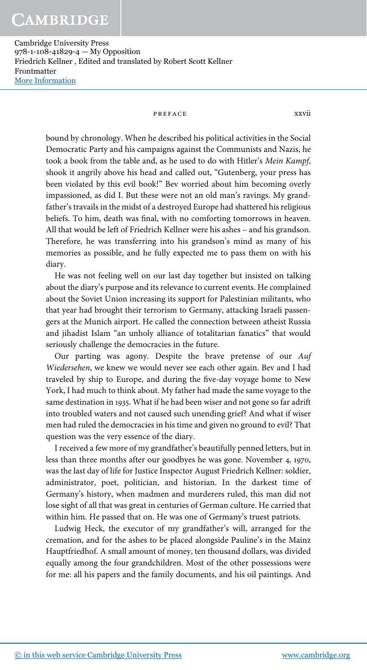#### preface xxvii

bound by chronology. When he described his political activities in the Social Democratic Party and his campaigns against the Communists and Nazis, he took a book from the table and, as he used to do with Hitler's Mein Kampf, shook it angrily above his head and called out, "Gutenberg, your press has been violated by this evil book!" Bev worried about him becoming overly impassioned, as did I. But these were not an old man's ravings. My grandfather's travails in the midst of a destroyed Europe had shattered his religious beliefs. To him, death was final, with no comforting tomorrows in heaven. All that would be left of Friedrich Kellner were his ashes – and his grandson. Therefore, he was transferring into his grandson's mind as many of his memories as possible, and he fully expected me to pass them on with his diary.

He was not feeling well on our last day together but insisted on talking about the diary's purpose and its relevance to current events. He complained about the Soviet Union increasing its support for Palestinian militants, who that year had brought their terrorism to Germany, attacking Israeli passengers at the Munich airport. He called the connection between atheist Russia and jihadist Islam "an unholy alliance of totalitarian fanatics" that would seriously challenge the democracies in the future.

Our parting was agony. Despite the brave pretense of our Auf Wiedersehen, we knew we would never see each other again. Bev and I had traveled by ship to Europe, and during the five-day voyage home to New York, I had much to think about. My father had made the same voyage to the same destination in 1935. What if he had been wiser and not gone so far adrift into troubled waters and not caused such unending grief? And what if wiser men had ruled the democracies in his time and given no ground to evil? That question was the very essence of the diary.

I received a few more of my grandfather's beautifully penned letters, but in less than three months after our goodbyes he was gone. November 4, 1970, was the last day of life for Justice Inspector August Friedrich Kellner: soldier, administrator, poet, politician, and historian. In the darkest time of Germany's history, when madmen and murderers ruled, this man did not lose sight of all that was great in centuries of German culture. He carried that within him. He passed that on. He was one of Germany's truest patriots.

Ludwig Heck, the executor of my grandfather's will, arranged for the cremation, and for the ashes to be placed alongside Pauline's in the Mainz Hauptfriedhof. A small amount of money, ten thousand dollars, was divided equally among the four grandchildren. Most of the other possessions were for me: all his papers and the family documents, and his oil paintings. And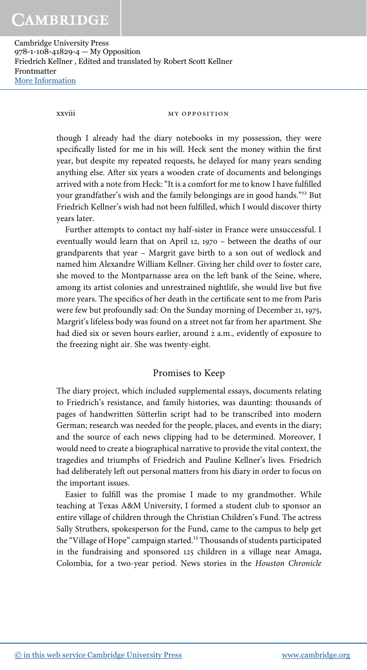#### xxviii My OPPOSITION

though I already had the diary notebooks in my possession, they were specifically listed for me in his will. Heck sent the money within the first year, but despite my repeated requests, he delayed for many years sending anything else. After six years a wooden crate of documents and belongings arrived with a note from Heck:"It is a comfort for me to know I have fulfilled your grandfather's wish and the family belongings are in good hands." <sup>12</sup> But Friedrich Kellner's wish had not been fulfilled, which I would discover thirty years later.

Further attempts to contact my half-sister in France were unsuccessful. I eventually would learn that on April 12, 1970 – between the deaths of our grandparents that year – Margrit gave birth to a son out of wedlock and named him Alexandre William Kellner. Giving her child over to foster care, she moved to the Montparnasse area on the left bank of the Seine, where, among its artist colonies and unrestrained nightlife, she would live but five more years. The specifics of her death in the certificate sent to me from Paris were few but profoundly sad: On the Sunday morning of December 21, 1975, Margrit's lifeless body was found on a street not far from her apartment. She had died six or seven hours earlier, around 2 a.m., evidently of exposure to the freezing night air. She was twenty-eight.

### Promises to Keep

The diary project, which included supplemental essays, documents relating to Friedrich's resistance, and family histories, was daunting: thousands of pages of handwritten Sütterlin script had to be transcribed into modern German; research was needed for the people, places, and events in the diary; and the source of each news clipping had to be determined. Moreover, I would need to create a biographical narrative to provide the vital context, the tragedies and triumphs of Friedrich and Pauline Kellner's lives. Friedrich had deliberately left out personal matters from his diary in order to focus on the important issues.

Easier to fulfill was the promise I made to my grandmother. While teaching at Texas A&M University, I formed a student club to sponsor an entire village of children through the Christian Children's Fund. The actress Sally Struthers, spokesperson for the Fund, came to the campus to help get the "Village of Hope" campaign started.<sup>13</sup> Thousands of students participated in the fundraising and sponsored 125 children in a village near Amaga, Colombia, for a two-year period. News stories in the Houston Chronicle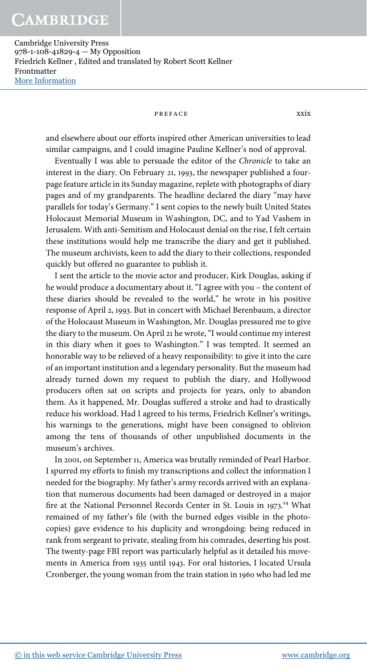#### preface xxix

and elsewhere about our efforts inspired other American universities to lead similar campaigns, and I could imagine Pauline Kellner's nod of approval.

Eventually I was able to persuade the editor of the Chronicle to take an interest in the diary. On February 21, 1993, the newspaper published a fourpage feature article in its Sunday magazine, replete with photographs of diary pages and of my grandparents. The headline declared the diary "may have parallels for today's Germany." I sent copies to the newly built United States Holocaust Memorial Museum in Washington, DC, and to Yad Vashem in Jerusalem. With anti-Semitism and Holocaust denial on the rise, I felt certain these institutions would help me transcribe the diary and get it published. The museum archivists, keen to add the diary to their collections, responded quickly but offered no guarantee to publish it.

I sent the article to the movie actor and producer, Kirk Douglas, asking if he would produce a documentary about it. "I agree with you – the content of these diaries should be revealed to the world," he wrote in his positive response of April 2, 1993. But in concert with Michael Berenbaum, a director of the Holocaust Museum in Washington, Mr. Douglas pressured me to give the diary to the museum. On April 21 he wrote,"I would continue my interest in this diary when it goes to Washington." I was tempted. It seemed an honorable way to be relieved of a heavy responsibility: to give it into the care of an important institution and a legendary personality. But the museum had already turned down my request to publish the diary, and Hollywood producers often sat on scripts and projects for years, only to abandon them. As it happened, Mr. Douglas suffered a stroke and had to drastically reduce his workload. Had I agreed to his terms, Friedrich Kellner's writings, his warnings to the generations, might have been consigned to oblivion among the tens of thousands of other unpublished documents in the museum's archives.

In 2001, on September 11, America was brutally reminded of Pearl Harbor. I spurred my efforts to finish my transcriptions and collect the information I needed for the biography. My father's army records arrived with an explanation that numerous documents had been damaged or destroyed in a major fire at the National Personnel Records Center in St. Louis in 1973.<sup>14</sup> What remained of my father's file (with the burned edges visible in the photocopies) gave evidence to his duplicity and wrongdoing: being reduced in rank from sergeant to private, stealing from his comrades, deserting his post. The twenty-page FBI report was particularly helpful as it detailed his movements in America from 1935 until 1943. For oral histories, I located Ursula Cronberger, the young woman from the train station in 1960 who had led me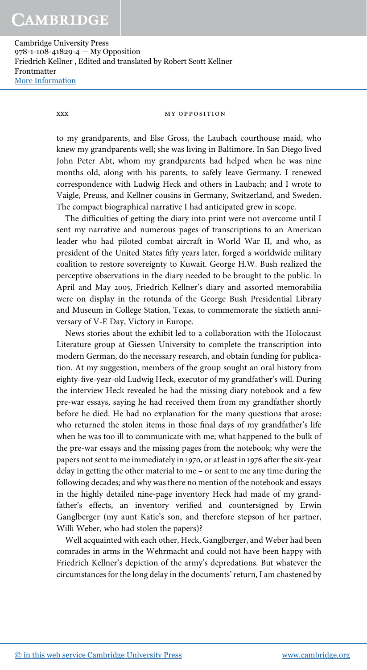#### xxx MY OPPOSITION

to my grandparents, and Else Gross, the Laubach courthouse maid, who knew my grandparents well; she was living in Baltimore. In San Diego lived John Peter Abt, whom my grandparents had helped when he was nine months old, along with his parents, to safely leave Germany. I renewed correspondence with Ludwig Heck and others in Laubach; and I wrote to Vaigle, Preuss, and Kellner cousins in Germany, Switzerland, and Sweden. The compact biographical narrative I had anticipated grew in scope.

The difficulties of getting the diary into print were not overcome until I sent my narrative and numerous pages of transcriptions to an American leader who had piloted combat aircraft in World War II, and who, as president of the United States fifty years later, forged a worldwide military coalition to restore sovereignty to Kuwait. George H.W. Bush realized the perceptive observations in the diary needed to be brought to the public. In April and May 2005, Friedrich Kellner's diary and assorted memorabilia were on display in the rotunda of the George Bush Presidential Library and Museum in College Station, Texas, to commemorate the sixtieth anniversary of V-E Day, Victory in Europe.

News stories about the exhibit led to a collaboration with the Holocaust Literature group at Giessen University to complete the transcription into modern German, do the necessary research, and obtain funding for publication. At my suggestion, members of the group sought an oral history from eighty-five-year-old Ludwig Heck, executor of my grandfather's will. During the interview Heck revealed he had the missing diary notebook and a few pre-war essays, saying he had received them from my grandfather shortly before he died. He had no explanation for the many questions that arose: who returned the stolen items in those final days of my grandfather's life when he was too ill to communicate with me; what happened to the bulk of the pre-war essays and the missing pages from the notebook; why were the papers not sent to me immediately in 1970, or at least in 1976 after the six-year delay in getting the other material to me – or sent to me any time during the following decades; and why was there no mention of the notebook and essays in the highly detailed nine-page inventory Heck had made of my grandfather's effects, an inventory verified and countersigned by Erwin Ganglberger (my aunt Katie's son, and therefore stepson of her partner, Willi Weber, who had stolen the papers)?

Well acquainted with each other, Heck, Ganglberger, and Weber had been comrades in arms in the Wehrmacht and could not have been happy with Friedrich Kellner's depiction of the army's depredations. But whatever the circumstances for the long delay in the documents' return, I am chastened by